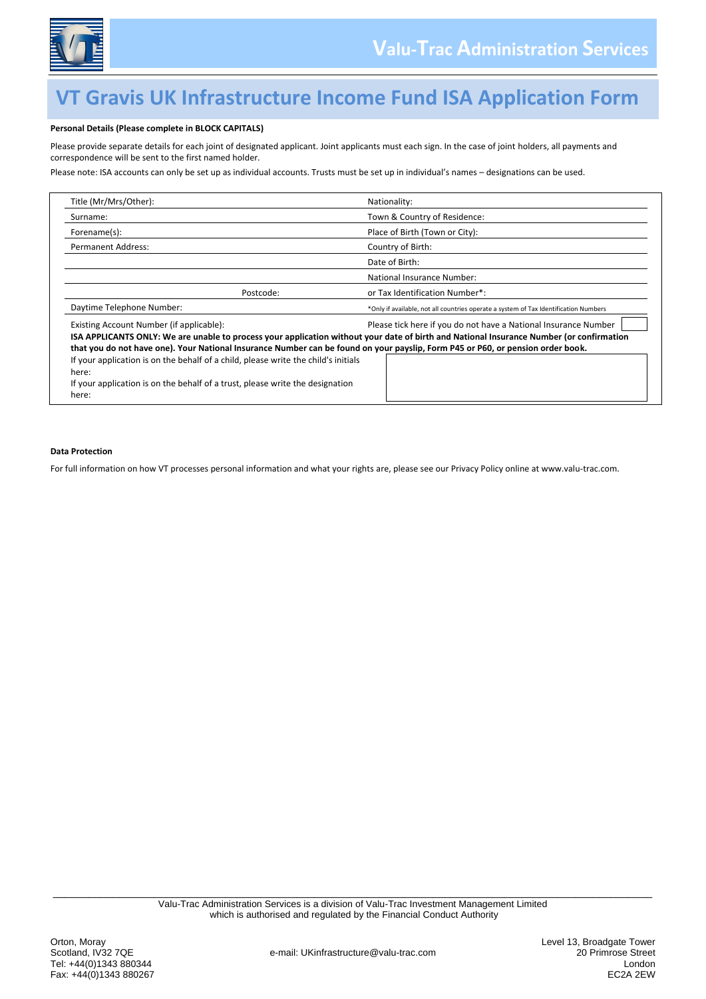

## **VT Gravis UK Infrastructure Income Fund ISA Application Form**

### **Personal Details (Please complete in BLOCK CAPITALS)**

Please provide separate details for each joint of designated applicant. Joint applicants must each sign. In the case of joint holders, all payments and correspondence will be sent to the first named holder.

Please note: ISA accounts can only be set up as individual accounts. Trusts must be set up in individual's names – designations can be used.

| Title (Mr/Mrs/Other):                                                                                                                                                       | Nationality:                                                                                                                                                                                                |
|-----------------------------------------------------------------------------------------------------------------------------------------------------------------------------|-------------------------------------------------------------------------------------------------------------------------------------------------------------------------------------------------------------|
| Surname:                                                                                                                                                                    | Town & Country of Residence:                                                                                                                                                                                |
| Forename(s):                                                                                                                                                                | Place of Birth (Town or City):                                                                                                                                                                              |
| <b>Permanent Address:</b>                                                                                                                                                   | Country of Birth:                                                                                                                                                                                           |
|                                                                                                                                                                             | Date of Birth:                                                                                                                                                                                              |
|                                                                                                                                                                             | National Insurance Number:                                                                                                                                                                                  |
| Postcode:                                                                                                                                                                   | or Tax Identification Number*:                                                                                                                                                                              |
| Daytime Telephone Number:                                                                                                                                                   | *Only if available, not all countries operate a system of Tax Identification Numbers                                                                                                                        |
| Existing Account Number (if applicable):<br>that you do not have one). Your National Insurance Number can be found on your payslip, Form P45 or P60, or pension order book. | Please tick here if you do not have a National Insurance Number<br>ISA APPLICANTS ONLY: We are unable to process your application without your date of birth and National Insurance Number (or confirmation |
| If your application is on the behalf of a child, please write the child's initials<br>here:                                                                                 |                                                                                                                                                                                                             |
| If your application is on the behalf of a trust, please write the designation<br>here:                                                                                      |                                                                                                                                                                                                             |

#### **Data Protection**

For full information on how VT processes personal information and what your rights are, please see our Privacy Policy online at www.valu-trac.com.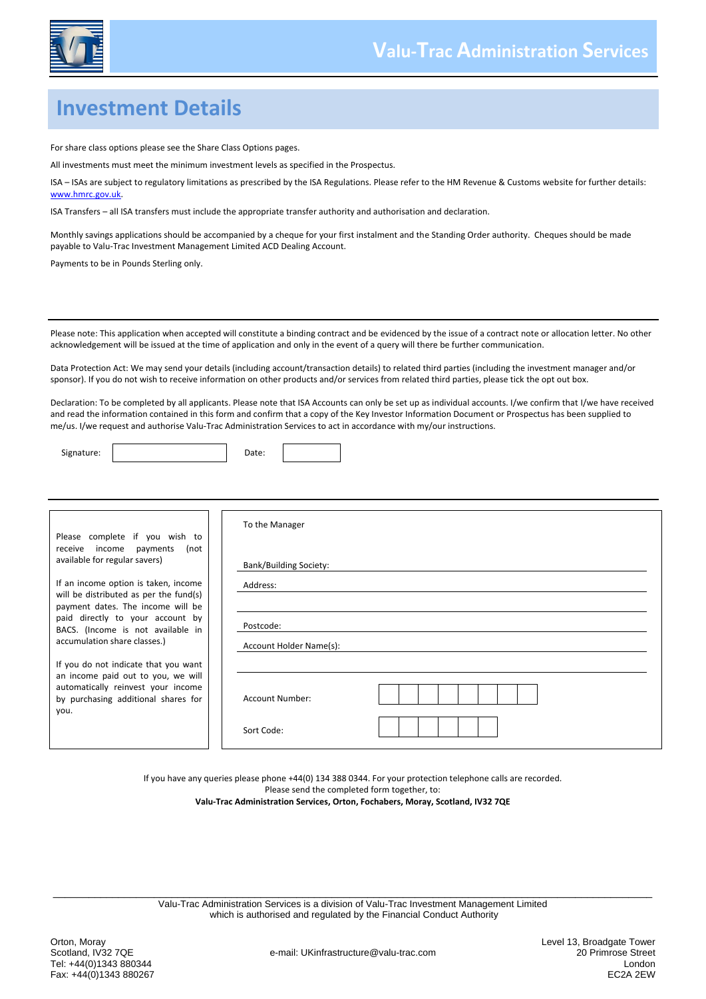

## **Investment Details**

For share class options please see the Share Class Options pages.

All investments must meet the minimum investment levels as specified in the Prospectus.

ISA – ISAs are subject to regulatory limitations as prescribed by the ISA Regulations. Please refer to the HM Revenue & Customs website for further details: [www.hmrc.gov.uk.](http://www.hmrc.gov.uk/)

ISA Transfers – all ISA transfers must include the appropriate transfer authority and authorisation and declaration.

Monthly savings applications should be accompanied by a cheque for your first instalment and the Standing Order authority. Cheques should be made payable to Valu-Trac Investment Management Limited ACD Dealing Account.

Payments to be in Pounds Sterling only.

Please note: This application when accepted will constitute a binding contract and be evidenced by the issue of a contract note or allocation letter. No other acknowledgement will be issued at the time of application and only in the event of a query will there be further communication.

Data Protection Act: We may send your details (including account/transaction details) to related third parties (including the investment manager and/or sponsor). If you do not wish to receive information on other products and/or services from related third parties, please tick the opt out box.

Declaration: To be completed by all applicants. Please note that ISA Accounts can only be set up as individual accounts. I/we confirm that I/we have received and read the information contained in this form and confirm that a copy of the Key Investor Information Document or Prospectus has been supplied to me/us. I/we request and authorise Valu-Trac Administration Services to act in accordance with my/our instructions.

Signature: No. 2016. [2016] Date:

| Please complete if you wish to                                                     | To the Manager         |  |  |                              |
|------------------------------------------------------------------------------------|------------------------|--|--|------------------------------|
| receive income payments<br>(not<br>available for regular savers)                   | Bank/Building Society: |  |  |                              |
| If an income option is taken, income                                               | Address:               |  |  |                              |
| will be distributed as per the fund(s)<br>payment dates. The income will be        |                        |  |  |                              |
| paid directly to your account by<br>Postcode:<br>BACS. (Income is not available in |                        |  |  |                              |
|                                                                                    |                        |  |  | accumulation share classes.) |
| If you do not indicate that you want                                               |                        |  |  |                              |
| an income paid out to you, we will                                                 |                        |  |  |                              |
| automatically reinvest your income<br>by purchasing additional shares for          | Account Number:        |  |  |                              |
| you.                                                                               |                        |  |  |                              |
|                                                                                    | Sort Code:             |  |  |                              |

If you have any queries please phone +44(0) 134 388 0344. For your protection telephone calls are recorded.

Please send the completed form together, to: **Valu-Trac Administration Services, Orton, Fochabers, Moray, Scotland, IV32 7QE**

\_\_\_\_\_\_\_\_\_\_\_\_\_\_\_\_\_\_\_\_\_\_\_\_\_\_\_\_\_\_\_\_\_\_\_\_\_\_\_\_\_\_\_\_\_\_\_\_\_\_\_\_\_\_\_\_\_\_\_\_\_\_\_\_\_\_\_\_\_\_\_\_\_\_\_\_\_\_\_\_\_\_\_\_\_\_\_\_\_\_\_\_\_\_\_\_\_\_\_\_\_ Valu-Trac Administration Services is a division of Valu-Trac Investment Management Limited which is authorised and regulated by the Financial Conduct Authority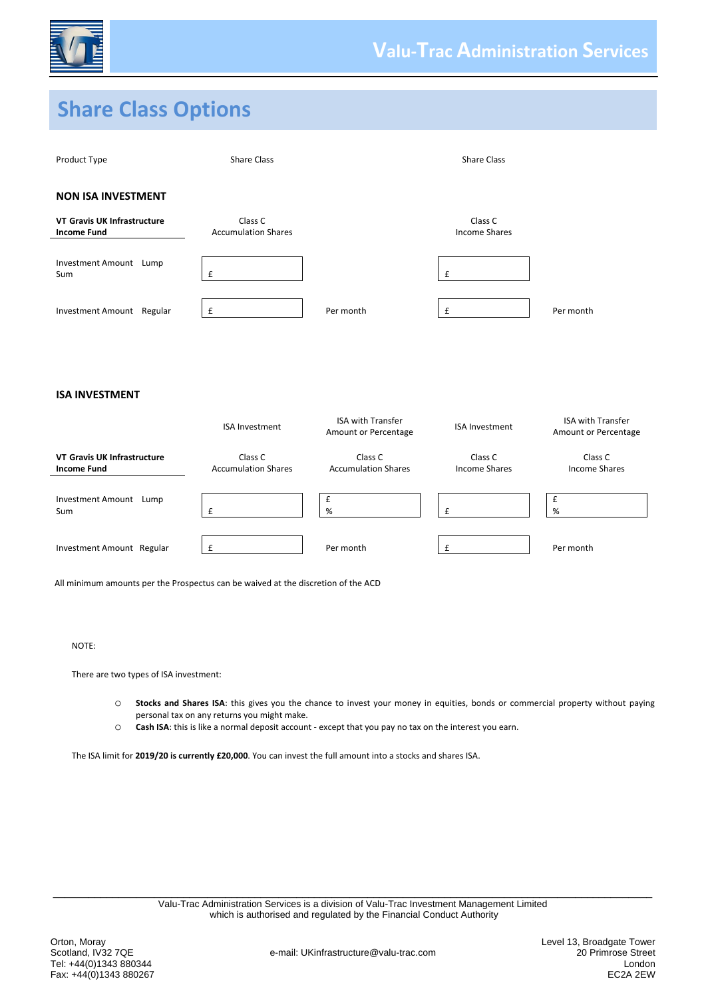

# **Share Class Options**



|                                                   |                                       | Amount or Percentage                  |                          | Amount or Percentage     |
|---------------------------------------------------|---------------------------------------|---------------------------------------|--------------------------|--------------------------|
| VT Gravis UK Infrastructure<br><b>Income Fund</b> | Class C<br><b>Accumulation Shares</b> | Class C<br><b>Accumulation Shares</b> | Class C<br>Income Shares | Class C<br>Income Shares |
| <b>Investment Amount</b><br>Lump<br>Sum           |                                       | %                                     |                          | %                        |
| Investment Amount Regular                         |                                       | Per month                             |                          | Per month                |

All minimum amounts per the Prospectus can be waived at the discretion of the ACD

### NOTE:

There are two types of ISA investment:

- o **Stocks and Shares ISA**: this gives you the chance to invest your money in equities, bonds or commercial property without paying personal tax on any returns you might make.
- o **Cash ISA**: this is like a normal deposit account except that you pay no tax on the interest you earn.

The ISA limit for **2019/20 is currently £20,000**. You can invest the full amount into a stocks and shares ISA.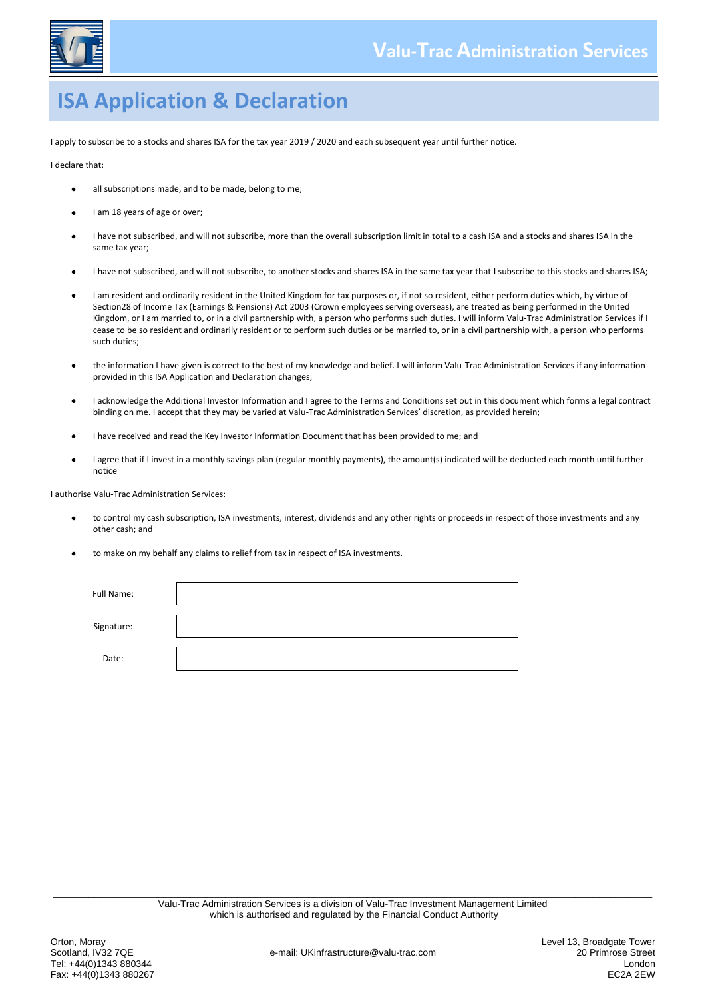

## **ISA Application & Declaration**

I apply to subscribe to a stocks and shares ISA for the tax year 2019 / 2020 and each subsequent year until further notice.

I declare that:

- all subscriptions made, and to be made, belong to me;
- I am 18 years of age or over;
- I have not subscribed, and will not subscribe, more than the overall subscription limit in total to a cash ISA and a stocks and shares ISA in the same tax year;
- I have not subscribed, and will not subscribe, to another stocks and shares ISA in the same tax year that I subscribe to this stocks and shares ISA;
- $\bullet$ I am resident and ordinarily resident in the United Kingdom for tax purposes or, if not so resident, either perform duties which, by virtue of Section28 of Income Tax (Earnings & Pensions) Act 2003 (Crown employees serving overseas), are treated as being performed in the United Kingdom, or I am married to, or in a civil partnership with, a person who performs such duties. I will inform Valu-Trac Administration Services if I cease to be so resident and ordinarily resident or to perform such duties or be married to, or in a civil partnership with, a person who performs such duties;
- the information I have given is correct to the best of my knowledge and belief. I will inform Valu-Trac Administration Services if any information provided in this ISA Application and Declaration changes;
- I acknowledge the Additional Investor Information and I agree to the Terms and Conditions set out in this document which forms a legal contract  $\bullet$ binding on me. I accept that they may be varied at Valu-Trac Administration Services' discretion, as provided herein;
- I have received and read the Key Investor Information Document that has been provided to me; and
- I agree that if I invest in a monthly savings plan (regular monthly payments), the amount(s) indicated will be deducted each month until further notice

I authorise Valu-Trac Administration Services:

- to control my cash subscription, ISA investments, interest, dividends and any other rights or proceeds in respect of those investments and any other cash; and
- to make on my behalf any claims to relief from tax in respect of ISA investments.

| Full Name: |  |
|------------|--|
| Signature: |  |
| Date:      |  |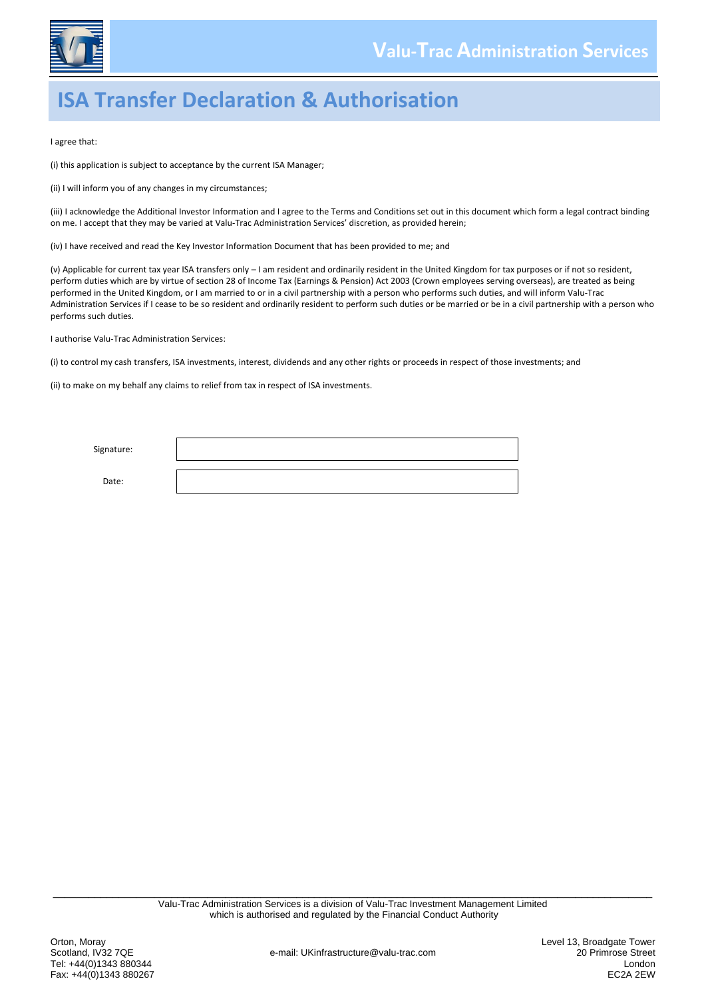

# **ISA Transfer Declaration & Authorisation**

I agree that:

(i) this application is subject to acceptance by the current ISA Manager;

(ii) I will inform you of any changes in my circumstances;

(iii) I acknowledge the Additional Investor Information and I agree to the Terms and Conditions set out in this document which form a legal contract binding on me. I accept that they may be varied at Valu-Trac Administration Services' discretion, as provided herein;

(iv) I have received and read the Key Investor Information Document that has been provided to me; and

(v) Applicable for current tax year ISA transfers only – I am resident and ordinarily resident in the United Kingdom for tax purposes or if not so resident, perform duties which are by virtue of section 28 of Income Tax (Earnings & Pension) Act 2003 (Crown employees serving overseas), are treated as being performed in the United Kingdom, or I am married to or in a civil partnership with a person who performs such duties, and will inform Valu-Trac Administration Services if I cease to be so resident and ordinarily resident to perform such duties or be married or be in a civil partnership with a person who performs such duties.

I authorise Valu-Trac Administration Services:

(i) to control my cash transfers, ISA investments, interest, dividends and any other rights or proceeds in respect of those investments; and

(ii) to make on my behalf any claims to relief from tax in respect of ISA investments.

| Signature: |  |
|------------|--|
| Date:      |  |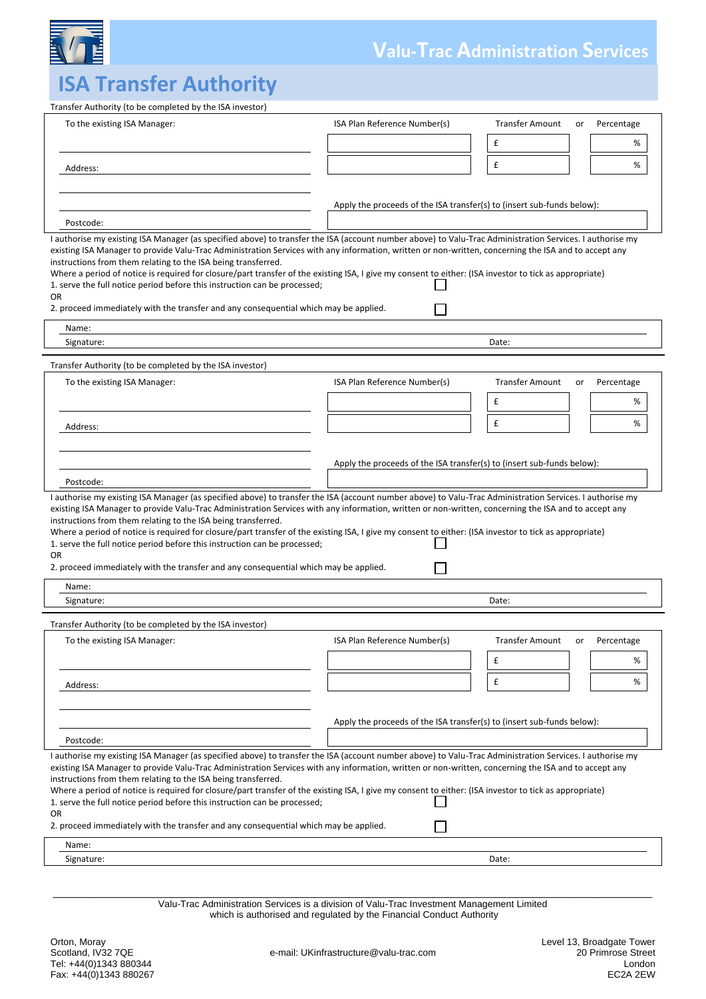

## **Valu-Trac Administration Services**

# **ISA Transfer Authority**

| Transfer Authority (to be completed by the ISA investor)                                                                                                                                                                                                                                                                                                                                                                                                                                                                                                                                                                                                                                                               |                                                                        |                                                      |  |  |
|------------------------------------------------------------------------------------------------------------------------------------------------------------------------------------------------------------------------------------------------------------------------------------------------------------------------------------------------------------------------------------------------------------------------------------------------------------------------------------------------------------------------------------------------------------------------------------------------------------------------------------------------------------------------------------------------------------------------|------------------------------------------------------------------------|------------------------------------------------------|--|--|
| To the existing ISA Manager:                                                                                                                                                                                                                                                                                                                                                                                                                                                                                                                                                                                                                                                                                           | ISA Plan Reference Number(s)                                           | <b>Transfer Amount</b><br>Percentage<br>or           |  |  |
|                                                                                                                                                                                                                                                                                                                                                                                                                                                                                                                                                                                                                                                                                                                        |                                                                        | £<br>%                                               |  |  |
|                                                                                                                                                                                                                                                                                                                                                                                                                                                                                                                                                                                                                                                                                                                        |                                                                        | £<br>℅                                               |  |  |
| Address:                                                                                                                                                                                                                                                                                                                                                                                                                                                                                                                                                                                                                                                                                                               |                                                                        |                                                      |  |  |
|                                                                                                                                                                                                                                                                                                                                                                                                                                                                                                                                                                                                                                                                                                                        |                                                                        |                                                      |  |  |
|                                                                                                                                                                                                                                                                                                                                                                                                                                                                                                                                                                                                                                                                                                                        | Apply the proceeds of the ISA transfer(s) to (insert sub-funds below): |                                                      |  |  |
| Postcode:                                                                                                                                                                                                                                                                                                                                                                                                                                                                                                                                                                                                                                                                                                              |                                                                        |                                                      |  |  |
| I authorise my existing ISA Manager (as specified above) to transfer the ISA (account number above) to Valu-Trac Administration Services. I authorise my<br>existing ISA Manager to provide Valu-Trac Administration Services with any information, written or non-written, concerning the ISA and to accept any<br>instructions from them relating to the ISA being transferred.<br>Where a period of notice is required for closure/part transfer of the existing ISA, I give my consent to either: (ISA investor to tick as appropriate)<br>1. serve the full notice period before this instruction can be processed;<br>OR<br>2. proceed immediately with the transfer and any consequential which may be applied. |                                                                        |                                                      |  |  |
| Name:                                                                                                                                                                                                                                                                                                                                                                                                                                                                                                                                                                                                                                                                                                                  |                                                                        |                                                      |  |  |
| Signature:                                                                                                                                                                                                                                                                                                                                                                                                                                                                                                                                                                                                                                                                                                             |                                                                        | Date:                                                |  |  |
| Transfer Authority (to be completed by the ISA investor)                                                                                                                                                                                                                                                                                                                                                                                                                                                                                                                                                                                                                                                               |                                                                        |                                                      |  |  |
| To the existing ISA Manager:                                                                                                                                                                                                                                                                                                                                                                                                                                                                                                                                                                                                                                                                                           | ISA Plan Reference Number(s)                                           | <b>Transfer Amount</b><br>Percentage<br>or           |  |  |
|                                                                                                                                                                                                                                                                                                                                                                                                                                                                                                                                                                                                                                                                                                                        |                                                                        | £<br>%                                               |  |  |
| Address:                                                                                                                                                                                                                                                                                                                                                                                                                                                                                                                                                                                                                                                                                                               |                                                                        | £<br>℅                                               |  |  |
|                                                                                                                                                                                                                                                                                                                                                                                                                                                                                                                                                                                                                                                                                                                        |                                                                        |                                                      |  |  |
| Postcode:                                                                                                                                                                                                                                                                                                                                                                                                                                                                                                                                                                                                                                                                                                              | Apply the proceeds of the ISA transfer(s) to (insert sub-funds below): |                                                      |  |  |
| I authorise my existing ISA Manager (as specified above) to transfer the ISA (account number above) to Valu-Trac Administration Services. I authorise my<br>existing ISA Manager to provide Valu-Trac Administration Services with any information, written or non-written, concerning the ISA and to accept any<br>instructions from them relating to the ISA being transferred.<br>Where a period of notice is required for closure/part transfer of the existing ISA, I give my consent to either: (ISA investor to tick as appropriate)<br>1. serve the full notice period before this instruction can be processed;<br>OR<br>2. proceed immediately with the transfer and any consequential which may be applied. |                                                                        |                                                      |  |  |
| Name:                                                                                                                                                                                                                                                                                                                                                                                                                                                                                                                                                                                                                                                                                                                  |                                                                        |                                                      |  |  |
| Signature:                                                                                                                                                                                                                                                                                                                                                                                                                                                                                                                                                                                                                                                                                                             |                                                                        | Date:                                                |  |  |
| Transfer Authority (to be completed by the ISA investor)                                                                                                                                                                                                                                                                                                                                                                                                                                                                                                                                                                                                                                                               |                                                                        |                                                      |  |  |
| To the existing ISA Manager:                                                                                                                                                                                                                                                                                                                                                                                                                                                                                                                                                                                                                                                                                           | ISA Plan Reference Number(s)                                           | <b>Transfer Amount</b><br>Percentage<br>or<br>£<br>% |  |  |
| Address:                                                                                                                                                                                                                                                                                                                                                                                                                                                                                                                                                                                                                                                                                                               |                                                                        | £<br>%                                               |  |  |
|                                                                                                                                                                                                                                                                                                                                                                                                                                                                                                                                                                                                                                                                                                                        |                                                                        |                                                      |  |  |
|                                                                                                                                                                                                                                                                                                                                                                                                                                                                                                                                                                                                                                                                                                                        |                                                                        |                                                      |  |  |
|                                                                                                                                                                                                                                                                                                                                                                                                                                                                                                                                                                                                                                                                                                                        | Apply the proceeds of the ISA transfer(s) to (insert sub-funds below): |                                                      |  |  |
| Postcode:                                                                                                                                                                                                                                                                                                                                                                                                                                                                                                                                                                                                                                                                                                              |                                                                        |                                                      |  |  |
| I authorise my existing ISA Manager (as specified above) to transfer the ISA (account number above) to Valu-Trac Administration Services. I authorise my<br>existing ISA Manager to provide Valu-Trac Administration Services with any information, written or non-written, concerning the ISA and to accept any<br>instructions from them relating to the ISA being transferred.<br>Where a period of notice is required for closure/part transfer of the existing ISA, I give my consent to either: (ISA investor to tick as appropriate)<br>1. serve the full notice period before this instruction can be processed;<br>OR                                                                                         |                                                                        |                                                      |  |  |
| 2. proceed immediately with the transfer and any consequential which may be applied.                                                                                                                                                                                                                                                                                                                                                                                                                                                                                                                                                                                                                                   |                                                                        |                                                      |  |  |
| Name:<br>Signature:                                                                                                                                                                                                                                                                                                                                                                                                                                                                                                                                                                                                                                                                                                    |                                                                        | Date:                                                |  |  |
|                                                                                                                                                                                                                                                                                                                                                                                                                                                                                                                                                                                                                                                                                                                        |                                                                        |                                                      |  |  |

\_\_\_\_\_\_\_\_\_\_\_\_\_\_\_\_\_\_\_\_\_\_\_\_\_\_\_\_\_\_\_\_\_\_\_\_\_\_\_\_\_\_\_\_\_\_\_\_\_\_\_\_\_\_\_\_\_\_\_\_\_\_\_\_\_\_\_\_\_\_\_\_\_\_\_\_\_\_\_\_\_\_\_\_\_\_\_\_\_\_\_\_\_\_\_\_\_\_\_\_\_ Valu-Trac Administration Services is a division of Valu-Trac Investment Management Limited which is authorised and regulated by the Financial Conduct Authority

e-mail: UKinfrastructure@valu-trac.com 20 Primrose Street<br>London 20 Primrose Street<br>EC2A 2EW Tel: +44(0)1343 880344 London Fax: +44(0)1343 880267 EC2A 2EW